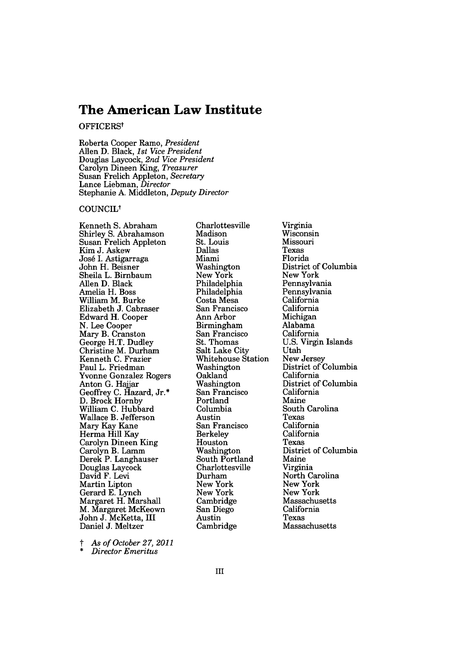# **The American Law Institute**

#### OFFICERS<sup>t</sup>

Roberta Cooper Ramo, *President* Allen D. Black, *1st Vice President* Douglas Laycock, *2nd Vice President* Carolyn Dineen King, *Treasurer* Susan Frelich Appleton, *Secretary* Lance Liebman, *Director* Stephanie A. Middleton, *Deputy Director*

## COUNCILt

Kenneth S. Abraham Shirley S. Abrahamson Susan Frelich Appleton Kim J. Askew Jos6 I. Astigarraga John H. Beisner Sheila L. Birnbaum Allen D. Black Amelia H. Boss William M. Burke Elizabeth J. Cabraser Edward H. Cooper N. Lee Cooper Mary B. Cranston George H.T. Dudley Christine M. Durham Kenneth C. Frazier Paul L. Friedman Yvonne Gonzalez Rogers Anton G. Haijar Geoffrey C. Hazard, Jr.\* D. Brock Hornby William C. Hubbard Wallace B. Jefferson Mary Kay Kane Herma Hill Kay Carolyn Dineen King Carolyn B. Lamm Derek P. Langhauser Douglas Laycock David F. Levi Martin Lipton Gerard E. Lynch Margaret H. Marshall M. Margaret McKeown John J. McKetta, III Daniel J. Meltzer

*t As of October27, 2011* \* *Director Emeritus*

Charlottesville Madison St. Louis Dallas Miami Washington New York Philadelphia Philadelphia Costa Mesa San Francisco Ann Arbor Birmingham San Francisco St. Thomas Salt Lake City Whitehouse Station Washington Oakland Washington San Francisco Portland Columbia Austin San Francisco Berkeley Houston Washington South Portland Charlottesville Durham New York New York Cambridge San Diego Austin Cambridge

Virginia Wisconsin Missouri Texas Florida District of Columbia New York Pennsylvania Pennsylvania California California Michigan Alabama California U.S. Virgin Islands Utah New Jersey District of Columbia California District of Columbia California Maine South Carolina Texas California California Texas District of Columbia Maine Virginia North Carolina New York New York Massachusetts California Texas Massachusetts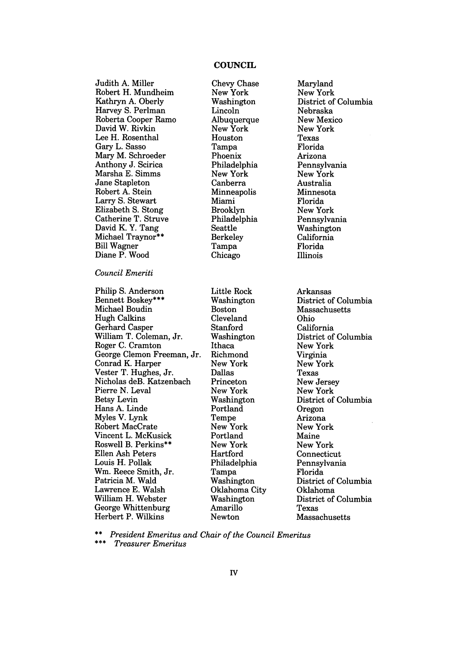#### **COUNCIL**

Judith **A.** Miller Robert H. Mundheim Kathryn A. Oberly Harvey **S.** Perlman Roberta Cooper Ramo David W. Rivkin Lee H. Rosenthal Gary L. Sasso Mary M. Schroeder Anthony J. Scirica Marsha E. Simms Jane Stapleton Robert A. Stein Larry S. Stewart Elizabeth S. Stong Catherine T. Struve David K. Y. Tang Michael Traynor\*\* Bill Wagner Diane P. Wood *Council Emeriti* Philip S. Anderson Bennett Boskey\*\*\* Michael Boudin Hugh Calkins Gerhard Casper William T. Coleman, Jr. Roger C. Cramton George Clemon Freeman, Jr. Conrad K. Harper Vester T. Hughes, Jr. Nicholas deB. Katzenbach Pierre N. Leval Betsy Levin Hans A. Linde Myles V. Lynk Robert MacCrate Vincent L. McKusick Roswell B. Perkins\*\* Ellen Ash Peters Louis H. Pollak Wm. Reece Smith, Jr. Patricia M. Wald Lawrence E. Walsh William H. Webster George Whittenburg Herbert P. Wilkins Chevy Chase New York Washington Lincoln Albuquerque New York Houston Tampa Phoenix Philadelphia New York Canberra Minneapolis Miami Brooklyn Philadelphia Seattle Berkeley Tampa Chicago Little Rock Washington Boston Cleveland Stanford Washington Ithaca Richmond New York Dallas Princeton New York Washington Portland Tempe New York Portland New York Hartford Philadelphia Tampa Washington Oklahoma City Washington Amarillo Newton Maryland New York District of Columbia Nebraska New Mexico New York Texas Florida Arizona Pennsylvania New York Australia Minnesota Florida New York Pennsylvania Washington California Florida Illinois Arkansas District of Columbia Massachusetts Ohio California District of Columbia New York Virginia New York Texas New Jersey New York District of Columbia Oregon Arizona New York Maine New York Connecticut Pennsylvania Florida District of Columbia Oklahoma District of Columbia Texas Massachusetts

*\*\* President Emeritus and Chair of the Council Emeritus*

*Treasurer Emeritus*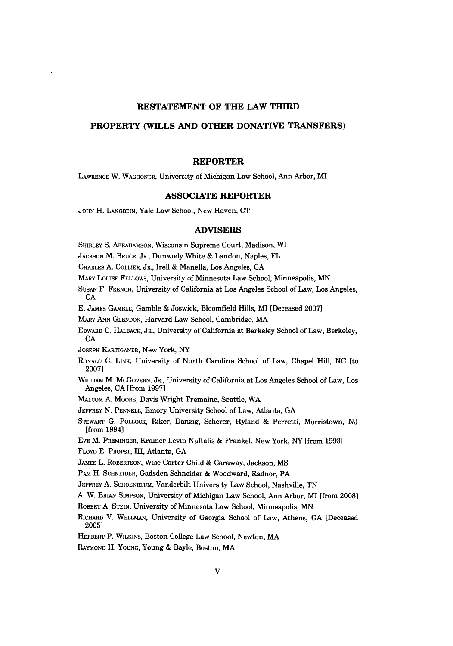# **RESTATEMENT OF THE LAW THIRD**

# **PROPERTY (WILLS AND OTHER DONATIVE TRANSFERS)**

#### **REPORTER**

LAWRENCE W. WAGGONER, University of Michigan Law School, Ann Arbor, MI

#### **ASSOCIATE REPORTER**

**JOHN** H. LANGBEIN, Yale Law School, New Haven, **CT**

#### **ADVISERS**

SHIRLEY **S.** ABRAHAMSON, Wisconsin Supreme Court, Madison, WI

JACKSON M. BRUCE, JR., Dunwody White & Landon, Naples, FL

CHARLES **A.** COLLIER, JR., Irell & Manella, Los Angeles, CA

MARY LOUISE FELLOWS, University of Minnesota Law School, Minneapolis, MN

SUSAN F. FRENCH, University of California at Los Angeles School of Law, Los Angeles, CA

E. JAMES GAMBLE, Gamble & Joswick, Bloomfield Hills, MI [Deceased 2007]

MARY ANN GLENDON, Harvard Law School, Cambridge, MA

EDWARD C. HALBACH, JR., University of California at Berkeley School of Law, Berkeley, CA

JOSEPH KARTIGANER, New York, NY

RONALD C. LINK, University of North Carolina School of Law, Chapel Hill, NC [to 2007]

WILLIAM M. McGoVERN, JR., University of California at Los Angeles School of Law, Los Angeles, CA [from 1997]

MALCOM A. MOORE, Davis Wright Tremaine, Seattle, WA

JEFFREY **N.** PENNELL, Emory University School of Law, Atlanta, GA

STEWART **G.** POLLOCK, Riker, Danzig, Scherer, Hyland **&** Perretti, Morristown, NJ [from 1994]

EVE M. PREMINGER, Kramer Levin Naftalis & Frankel, New York, NY [from 1993]

FLOYD **E.** PROPST, III, Atlanta, GA

JAMES L. ROBERTSON, Wise Carter Child & Caraway, Jackson, MS

PAM H. SCHNEIDER, Gadsden Schneider **&** Woodward, Radnor, PA

JEFFREY A. SCHOENBLUM, Vanderbilt University Law School, Nashville, TN

A. W. BRLAN SIMPSON, University of Michigan Law School, Ann Arbor, MI [from **2008]**

ROBERT A. STEIN, University of Minnesota Law School, Minneapolis, MN

RICHARD V. WELLMAN, University of Georgia School of Law, Athens, GA [Deceased **2005]**

HERBERT P. WILKINS, Boston College Law School, Newton, MA

RAYMOND H. YOUNG, Young **&** Bayle, Boston, MA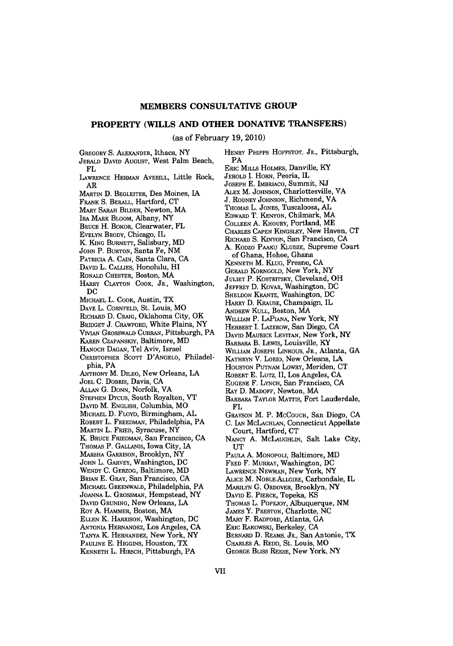#### **MEMBERS CONSULTATIVE GROUP**

# **PROPERTY (WILLS AND OTHER DONATIVE TRANSFERS)**

(as of February **19,** 2010)

GREGORY **S.** ALEXANDER, Ithaca, NY JERALD **DAVID AUGUST,** West Palm Beach, FL. LAWRENCE HERMAN AVERILL, Little Rock, AR MARTIN **D.** BEGLEITER, Des Moines, **IA** FRANK **S.** BERALL, Hartford, **CT** MARY SARAH BILDER, Newton, MA IRA **MARK** BLOOM, Albany, NY BRUCE H. BOKOR, Clearwater, FL EVELYN BRODY, Chicago, IL K. **KING BURNETT,** Salisbury, MD **JOHN** P. BURTON, Santa Fe, **NM** PATRICIA **A.** CAIN, Santa Clara, **CA** DAVID L. **CALLIES,** Honolulu, HI RONALD CHESTER, Boston, MA HARRY **CLAYTON** COOK, JR., Washington, **DC MICHAEL L.** COOK, Austin, TX DAVE L. CORNFELD, St. Louis, MO RICHARD D. CRAIG, Oklahoma City, OK BRIDGET **J.** CRAWFORD, White Plains, NY VIVIAN GROSSWALD CURRAN, Pittsburgh, PA KAREN CZAPANSKIY, Baltimore, MD HANOCH DAGAN, Tel Aviv, Israel CHRISTOPHER SCOTT D'ANGELO, Philadelphia, PA ANTHONY M. DILEO, New Orleans, LA JOEL **C.** DOBRIs, Davis, CA **ALLAN G.** DORN, Norfolk, VA STEPHEN DYCUS, South Royalton, VT DAVID M. ENGLISH, Columbia, MO MICHAEL D. FLOYD, Birmingham, AL ROBERT L. FREEDMAN, Philadelphia, PA MARTIN L. FRIED, Syracuse, NY K. BRUCE FRIEDMAN, San Francisco, CA THOMAS P. GALLANiS, Iowa City, IA MARSHA GARRISON, Brooklyn, NY JOHN L. GARVEY, Washington, DC WENDY **C.** GERZOG, Baltimore, MD BRIAN E. GRAY, San Francisco, **CA** MICHAEL GREENWALD, Philadelphia, PA JOANNA L. GROSSMAN, Hempstead, NY DAVID GRUNING, New Orleans, LA RoY A. HAMMER, Boston, MA ELLEN K. HARRISON, Washington, DC ANTONIA HERNANDEZ, Los Angeles, **CA TANYA** K. HERNANDEZ, New York, NY PAULINE E. HIGGINS, Houston, TX KENNETH L. HIRSCH, Pittsburgh, PA

HENRY PHIPPS HOFFSTOT, **JR.,** Pittsburgh, PA ERIC MILLS HOLMES, Danville, KY JEROLD I. HORN, Peoria, IL JOSEPH **E.** IMBRIACO, Summit, NJ ALEX M. JOHNSON, Charlottesville, VA J. RODNEY JOHNSON, Richmond, VA THOMAS L. **JONES,** Tuscaloosa, AL EDWARD T. KENYON, Chilmark, MA COLLEEN **A.** KHOURY, Portland, ME CHARLES CAPEN KINGSLEY, New Haven, CT RICHARD S. KINYON, San Francisco, CA A. KODZO PAAKU KLUDZE, Supreme Court of Ghana, Hohoe, Ghana KENNETH M. KLUG, Fresno, CA GERALD KORNGOLD, New York, NY JULIET P. KOSTRITSKY, Cleveland, OH JEFFREY D. KovAR, Washington, DC SHELDON KRANTz, Washington, DC HARRY D. KRAUSE, Champaign, IL ANDREW KULL, Boston, MA WILLIAM P. LAPIANA, New York, NY HERBERT I. LAZEROW, San Diego, CA DAVID MAURICE LEVITAN, New York, NY BARBARA B. LEWIS, Louisville, KY WILLIAM JOSEPH LINKOUS, JR., Atlanta, GA KATHRYN V. LORIo, New Orleans, LA HOUSTON PUTNAM LOWRY, Meriden, CT ROBERT E. LUTZ, II, Los Angeles, CA EUGENE F. LYNCH, San Francisco, CA RAY D. MADOFF, Newton, MA BARBARA TAYLOR MATTIs, Fort Lauderdale, FL GRAYSON M. P. MCCOUCH, San Diego, CA C. IAN McLACHLAN, Connecticut Appellate Court, Hartford, CT NANCY A. McLAUGHLIN, Salt Lake City, **IIT** PAULA A. MONOPOLI, Baltimore, MD FRED F. MURRAY, Washington, DC LAWRENCE NEWMAN, New York, **NY** ALICE M. NOBLEALLGIRE, Carbondale, IL MARILYN **G.** ORDOVER, Brooklyn, NY DAVID **E.** PIERCE, Topeka, KS THOMAS L. POPEJOY, Albuquerque, NM JAMES **Y.** PRESTON, Charlotte, **NC** MARY F. RADFORD, Atlanta, **GA** ERIC RAKOWSRI, Berkeley, **CA** BERNARD D. REAMS, JR., San Antonio, TX

- CHARLES A. REDD, St. Louis, MO
- GEORGE BLISS REESE, New York, NY